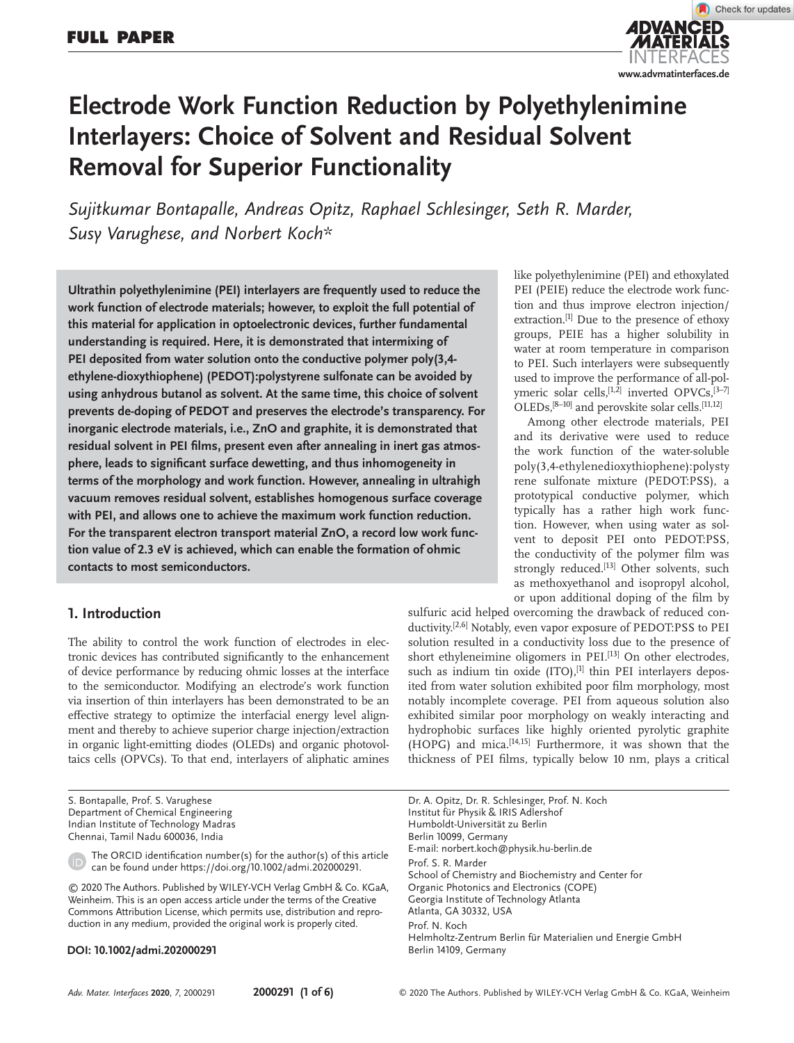

# **Electrode Work Function Reduction by Polyethylenimine Interlayers: Choice of Solvent and Residual Solvent Removal for Superior Functionality**

*Sujitkumar Bontapalle, Andreas Opitz, Raphael Schlesinger, Seth R. Marder, Susy Varughese, and Norbert Koch\**

**Ultrathin polyethylenimine (PEI) interlayers are frequently used to reduce the work function of electrode materials; however, to exploit the full potential of this material for application in optoelectronic devices, further fundamental understanding is required. Here, it is demonstrated that intermixing of PEI deposited from water solution onto the conductive polymer poly(3,4 ethylene-dioxythiophene) (PEDOT):polystyrene sulfonate can be avoided by using anhydrous butanol as solvent. At the same time, this choice of solvent prevents de-doping of PEDOT and preserves the electrode's transparency. For inorganic electrode materials, i.e., ZnO and graphite, it is demonstrated that residual solvent in PEI films, present even after annealing in inert gas atmosphere, leads to significant surface dewetting, and thus inhomogeneity in terms of the morphology and work function. However, annealing in ultrahigh vacuum removes residual solvent, establishes homogenous surface coverage with PEI, and allows one to achieve the maximum work function reduction. For the transparent electron transport material ZnO, a record low work function value of 2.3 eV is achieved, which can enable the formation of ohmic contacts to most semiconductors.**

# **1. Introduction**

The ability to control the work function of electrodes in electronic devices has contributed significantly to the enhancement of device performance by reducing ohmic losses at the interface to the semiconductor. Modifying an electrode's work function via insertion of thin interlayers has been demonstrated to be an effective strategy to optimize the interfacial energy level alignment and thereby to achieve superior charge injection/extraction in organic light-emitting diodes (OLEDs) and organic photovoltaics cells (OPVCs). To that end, interlayers of aliphatic amines

S. Bontapalle, Prof. S. Varughese Department of Chemical Engineering Indian Institute of Technology Madras Chennai, Tamil Nadu 600036, India

The ORCID identification number(s) for the author(s) of this article can be found under https://doi.org/10.1002/admi.202000291.

© 2020 The Authors. Published by WILEY-VCH Verlag GmbH & Co. KGaA, Weinheim. This is an open access article under the terms of the Creative Commons Attribution License, which permits use, distribution and reproduction in any medium, provided the original work is properly cited.

### **DOI: 10.1002/admi.202000291**

like polyethylenimine (PEI) and ethoxylated PEI (PEIE) reduce the electrode work function and thus improve electron injection/ extraction.[1] Due to the presence of ethoxy groups, PEIE has a higher solubility in water at room temperature in comparison to PEI. Such interlayers were subsequently used to improve the performance of all-polymeric solar cells, [1,2] inverted OPVCs, [3-7] OLEDs,<sup>[8-10]</sup> and perovskite solar cells.<sup>[11,12]</sup>

Among other electrode materials, PEI and its derivative were used to reduce the work function of the water-soluble poly(3,4-ethylenedioxythiophene):polysty rene sulfonate mixture (PEDOT:PSS), a prototypical conductive polymer, which typically has a rather high work function. However, when using water as solvent to deposit PEI onto PEDOT:PSS, the conductivity of the polymer film was strongly reduced.<sup>[13]</sup> Other solvents, such as methoxyethanol and isopropyl alcohol, or upon additional doping of the film by

sulfuric acid helped overcoming the drawback of reduced conductivity.[2,6] Notably, even vapor exposure of PEDOT:PSS to PEI solution resulted in a conductivity loss due to the presence of short ethyleneimine oligomers in PEI.<sup>[13]</sup> On other electrodes, such as indium tin oxide  $(ITO)$ ,  $[1]$  thin PEI interlayers deposited from water solution exhibited poor film morphology, most notably incomplete coverage. PEI from aqueous solution also exhibited similar poor morphology on weakly interacting and hydrophobic surfaces like highly oriented pyrolytic graphite (HOPG) and mica.[14,15] Furthermore, it was shown that the thickness of PEI films, typically below 10 nm, plays a critical

Dr. A. Opitz, Dr. R. Schlesinger, Prof. N. Koch Institut für Physik & IRIS Adlershof Humboldt-Universität zu Berlin Berlin 10099, Germany E-mail: norbert.koch@physik.hu-berlin.de Prof. S. R. Marder School of Chemistry and Biochemistry and Center for Organic Photonics and Electronics (COPE) Georgia Institute of Technology Atlanta Atlanta, GA 30332, USA Prof. N. Koch Helmholtz-Zentrum Berlin für Materialien und Energie GmbH Berlin 14109, Germany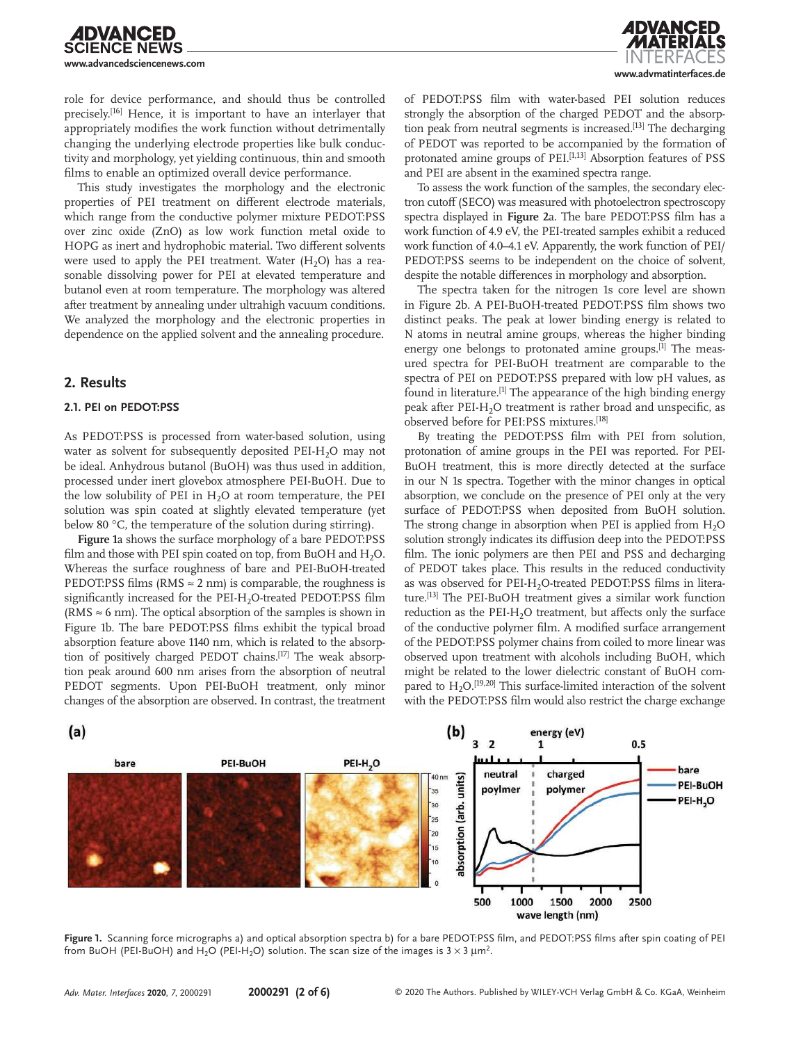

**www.advmatinterfaces.de**

role for device performance, and should thus be controlled precisely.[16] Hence, it is important to have an interlayer that appropriately modifies the work function without detrimentally changing the underlying electrode properties like bulk conductivity and morphology, yet yielding continuous, thin and smooth films to enable an optimized overall device performance.

This study investigates the morphology and the electronic properties of PEI treatment on different electrode materials, which range from the conductive polymer mixture PEDOT:PSS over zinc oxide (ZnO) as low work function metal oxide to HOPG as inert and hydrophobic material. Two different solvents were used to apply the PEI treatment. Water  $(H<sub>2</sub>O)$  has a reasonable dissolving power for PEI at elevated temperature and butanol even at room temperature. The morphology was altered after treatment by annealing under ultrahigh vacuum conditions. We analyzed the morphology and the electronic properties in dependence on the applied solvent and the annealing procedure.

## **2. Results**

### **2.1. PEI on PEDOT:PSS**

As PEDOT:PSS is processed from water-based solution, using water as solvent for subsequently deposited PEI-H<sub>2</sub>O may not be ideal. Anhydrous butanol (BuOH) was thus used in addition, processed under inert glovebox atmosphere PEI-BuOH. Due to the low solubility of PEI in  $H_2O$  at room temperature, the PEI solution was spin coated at slightly elevated temperature (yet below 80 °C, the temperature of the solution during stirring).

**Figure 1**a shows the surface morphology of a bare PEDOT:PSS film and those with PEI spin coated on top, from BuOH and  $H_2O$ . Whereas the surface roughness of bare and PEI-BuOH-treated PEDOT:PSS films (RMS  $\approx$  2 nm) is comparable, the roughness is significantly increased for the PEI-H<sub>2</sub>O-treated PEDOT:PSS film (RMS  $\approx$  6 nm). The optical absorption of the samples is shown in Figure 1b. The bare PEDOT:PSS films exhibit the typical broad absorption feature above 1140 nm, which is related to the absorption of positively charged PEDOT chains.<sup>[17]</sup> The weak absorption peak around 600 nm arises from the absorption of neutral PEDOT segments. Upon PEI-BuOH treatment, only minor changes of the absorption are observed. In contrast, the treatment

of PEDOT:PSS film with water-based PEI solution reduces strongly the absorption of the charged PEDOT and the absorption peak from neutral segments is increased.<sup>[13]</sup> The decharging of PEDOT was reported to be accompanied by the formation of protonated amine groups of PEI.<sup>[1,13]</sup> Absorption features of PSS and PEI are absent in the examined spectra range.

To assess the work function of the samples, the secondary electron cutoff (SECO) was measured with photoelectron spectroscopy spectra displayed in **Figure 2**a. The bare PEDOT:PSS film has a work function of 4.9 eV, the PEI-treated samples exhibit a reduced work function of 4.0–4.1 eV. Apparently, the work function of PEI/ PEDOT:PSS seems to be independent on the choice of solvent, despite the notable differences in morphology and absorption.

The spectra taken for the nitrogen 1s core level are shown in Figure 2b. A PEI-BuOH-treated PEDOT:PSS film shows two distinct peaks. The peak at lower binding energy is related to N atoms in neutral amine groups, whereas the higher binding energy one belongs to protonated amine groups.<sup>[1]</sup> The measured spectra for PEI-BuOH treatment are comparable to the spectra of PEI on PEDOT:PSS prepared with low pH values, as found in literature.<sup>[1]</sup> The appearance of the high binding energy peak after PEI-H<sub>2</sub>O treatment is rather broad and unspecific, as observed before for PEI:PSS mixtures.[18]

By treating the PEDOT:PSS film with PEI from solution, protonation of amine groups in the PEI was reported. For PEI-BuOH treatment, this is more directly detected at the surface in our N 1s spectra. Together with the minor changes in optical absorption, we conclude on the presence of PEI only at the very surface of PEDOT:PSS when deposited from BuOH solution. The strong change in absorption when PEI is applied from  $H_2O$ solution strongly indicates its diffusion deep into the PEDOT:PSS film. The ionic polymers are then PEI and PSS and decharging of PEDOT takes place. This results in the reduced conductivity as was observed for PEI-H<sub>2</sub>O-treated PEDOT:PSS films in literature.<sup>[13]</sup> The PEI-BuOH treatment gives a similar work function reduction as the  $PEI-H<sub>2</sub>O$  treatment, but affects only the surface of the conductive polymer film. A modified surface arrangement of the PEDOT:PSS polymer chains from coiled to more linear was observed upon treatment with alcohols including BuOH, which might be related to the lower dielectric constant of BuOH compared to  $H_2O$ .<sup>[19,20]</sup> This surface-limited interaction of the solvent with the PEDOT:PSS film would also restrict the charge exchange



**Figure 1.** Scanning force micrographs a) and optical absorption spectra b) for a bare PEDOT:PSS film, and PEDOT:PSS films after spin coating of PEI from BuOH (PEI-BuOH) and H<sub>2</sub>O (PEI-H<sub>2</sub>O) solution. The scan size of the images is 3  $\times$  3  $\mu$ m<sup>2</sup>.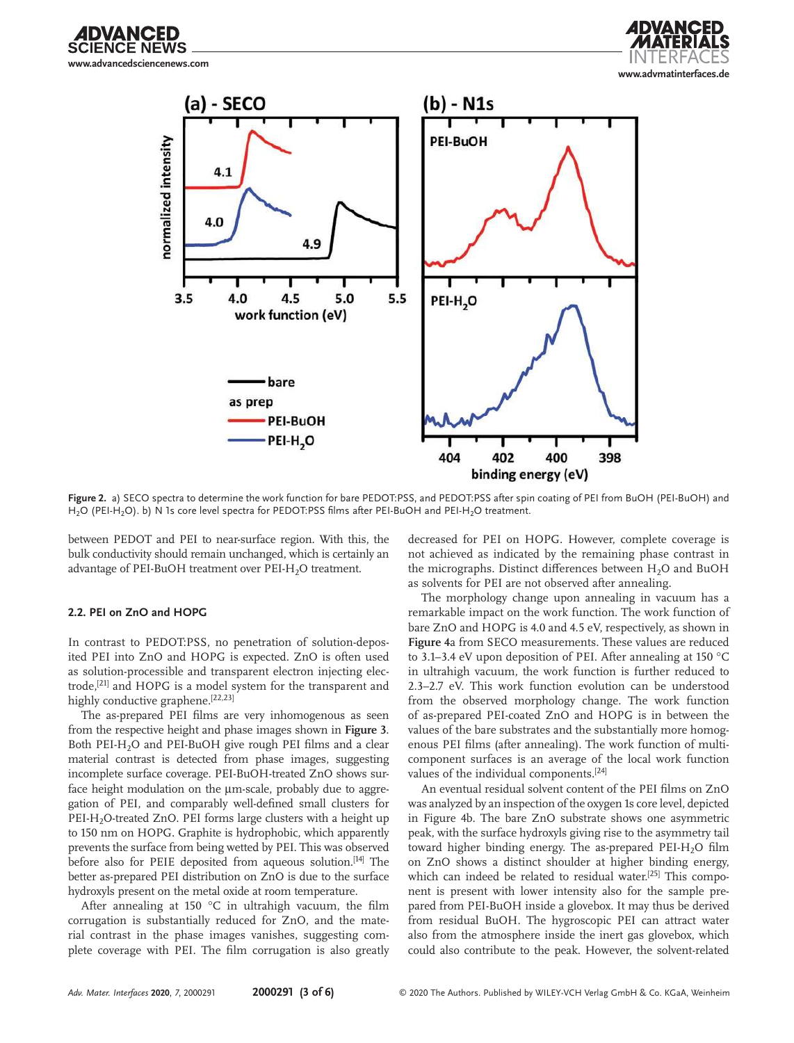**NCE NEWS www.advancedsciencenews.com**

DVANCED





**Figure 2.** a) SECO spectra to determine the work function for bare PEDOT:PSS, and PEDOT:PSS after spin coating of PEI from BuOH (PEI-BuOH) and H<sub>2</sub>O (PEI-H<sub>2</sub>O). b) N 1s core level spectra for PEDOT:PSS films after PEI-BuOH and PEI-H<sub>2</sub>O treatment.

between PEDOT and PEI to near-surface region. With this, the bulk conductivity should remain unchanged, which is certainly an advantage of PEI-BuOH treatment over PEI-H<sub>2</sub>O treatment.

#### **2.2. PEI on ZnO and HOPG**

In contrast to PEDOT:PSS, no penetration of solution-deposited PEI into ZnO and HOPG is expected. ZnO is often used as solution-processible and transparent electron injecting electrode,[21] and HOPG is a model system for the transparent and highly conductive graphene.<sup>[22,23]</sup>

The as-prepared PEI films are very inhomogenous as seen from the respective height and phase images shown in **Figure 3**. Both PEI-H<sub>2</sub>O and PEI-BuOH give rough PEI films and a clear material contrast is detected from phase images, suggesting incomplete surface coverage. PEI-BuOH-treated ZnO shows surface height modulation on the µm-scale, probably due to aggregation of PEI, and comparably well-defined small clusters for PEI-H<sub>2</sub>O-treated ZnO. PEI forms large clusters with a height up to 150 nm on HOPG. Graphite is hydrophobic, which apparently prevents the surface from being wetted by PEI. This was observed before also for PEIE deposited from aqueous solution.<sup>[14]</sup> The better as-prepared PEI distribution on ZnO is due to the surface hydroxyls present on the metal oxide at room temperature.

After annealing at 150 °C in ultrahigh vacuum, the film corrugation is substantially reduced for ZnO, and the material contrast in the phase images vanishes, suggesting complete coverage with PEI. The film corrugation is also greatly decreased for PEI on HOPG. However, complete coverage is not achieved as indicated by the remaining phase contrast in the micrographs. Distinct differences between  $H_2O$  and BuOH as solvents for PEI are not observed after annealing.

The morphology change upon annealing in vacuum has a remarkable impact on the work function. The work function of bare ZnO and HOPG is 4.0 and 4.5 eV, respectively, as shown in **Figure 4**a from SECO measurements. These values are reduced to 3.1–3.4 eV upon deposition of PEI. After annealing at 150 °C in ultrahigh vacuum, the work function is further reduced to 2.3–2.7 eV. This work function evolution can be understood from the observed morphology change. The work function of as-prepared PEI-coated ZnO and HOPG is in between the values of the bare substrates and the substantially more homogenous PEI films (after annealing). The work function of multicomponent surfaces is an average of the local work function values of the individual components.<sup>[24]</sup>

An eventual residual solvent content of the PEI films on ZnO was analyzed by an inspection of the oxygen 1s core level, depicted in Figure 4b. The bare ZnO substrate shows one asymmetric peak, with the surface hydroxyls giving rise to the asymmetry tail toward higher binding energy. The as-prepared  $PEI-H<sub>2</sub>O$  film on ZnO shows a distinct shoulder at higher binding energy, which can indeed be related to residual water.<sup>[25]</sup> This component is present with lower intensity also for the sample prepared from PEI-BuOH inside a glovebox. It may thus be derived from residual BuOH. The hygroscopic PEI can attract water also from the atmosphere inside the inert gas glovebox, which could also contribute to the peak. However, the solvent-related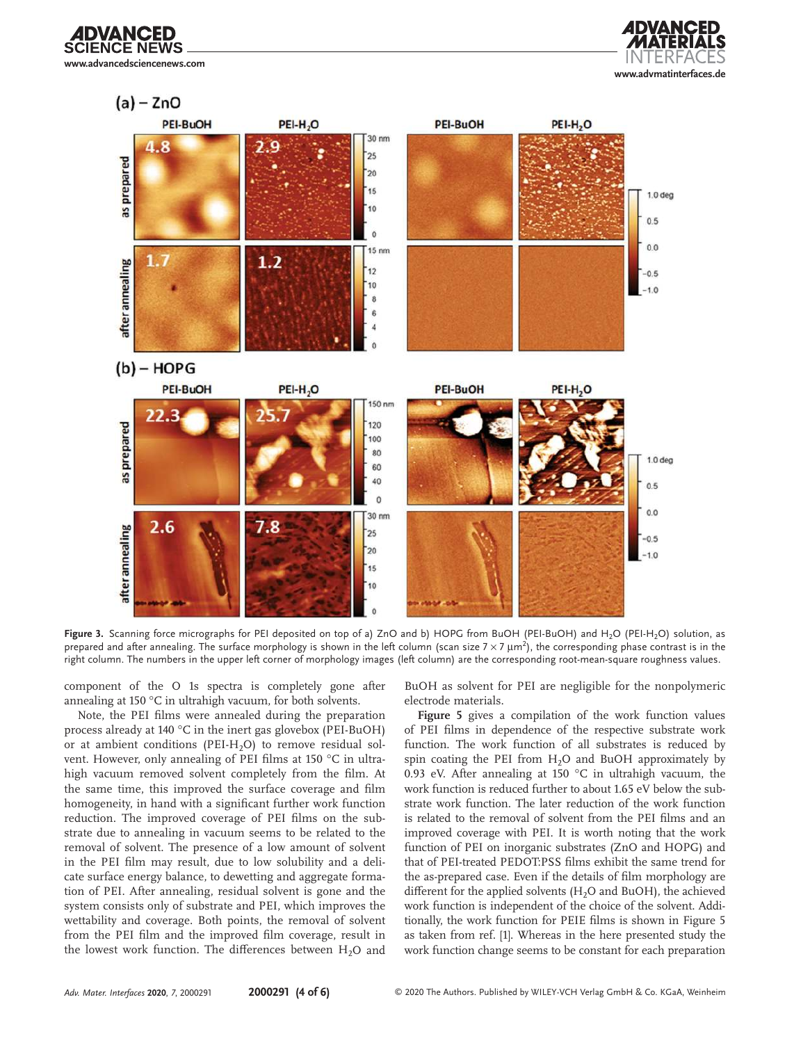**CE NEWS www.advancedsciencenews.com**

**DVANCED** 





Figure 3. Scanning force micrographs for PEI deposited on top of a) ZnO and b) HOPG from BuOH (PEI-BuOH) and H<sub>2</sub>O (PEI-H<sub>2</sub>O) solution, as prepared and after annealing. The surface morphology is shown in the left column (scan size  $7\times7$   $\mu$ m<sup>2</sup>), the corresponding phase contrast is in the right column. The numbers in the upper left corner of morphology images (left column) are the corresponding root-mean-square roughness values.

component of the O 1s spectra is completely gone after annealing at 150 °C in ultrahigh vacuum, for both solvents.

Note, the PEI films were annealed during the preparation process already at 140 °C in the inert gas glovebox (PEI-BuOH) or at ambient conditions (PEI-H<sub>2</sub>O) to remove residual solvent. However, only annealing of PEI films at 150 °C in ultrahigh vacuum removed solvent completely from the film. At the same time, this improved the surface coverage and film homogeneity, in hand with a significant further work function reduction. The improved coverage of PEI films on the substrate due to annealing in vacuum seems to be related to the removal of solvent. The presence of a low amount of solvent in the PEI film may result, due to low solubility and a delicate surface energy balance, to dewetting and aggregate formation of PEI. After annealing, residual solvent is gone and the system consists only of substrate and PEI, which improves the wettability and coverage. Both points, the removal of solvent from the PEI film and the improved film coverage, result in the lowest work function. The differences between  $H_2O$  and

BuOH as solvent for PEI are negligible for the nonpolymeric electrode materials.

**Figure 5** gives a compilation of the work function values of PEI films in dependence of the respective substrate work function. The work function of all substrates is reduced by spin coating the PEI from  $H<sub>2</sub>O$  and BuOH approximately by 0.93 eV. After annealing at 150 °C in ultrahigh vacuum, the work function is reduced further to about 1.65 eV below the substrate work function. The later reduction of the work function is related to the removal of solvent from the PEI films and an improved coverage with PEI. It is worth noting that the work function of PEI on inorganic substrates (ZnO and HOPG) and that of PEI-treated PEDOT:PSS films exhibit the same trend for the as-prepared case. Even if the details of film morphology are different for the applied solvents  $(H<sub>2</sub>O$  and BuOH), the achieved work function is independent of the choice of the solvent. Additionally, the work function for PEIE films is shown in Figure 5 as taken from ref. [1]. Whereas in the here presented study the work function change seems to be constant for each preparation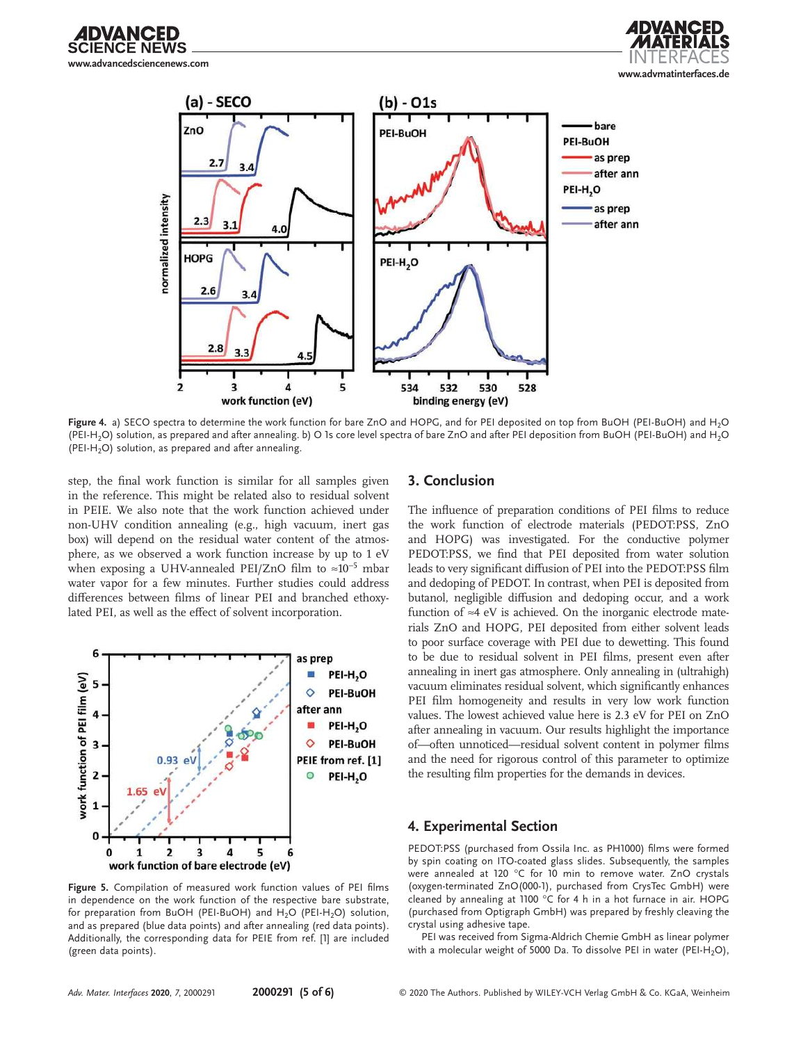





**Figure 4.** a) SECO spectra to determine the work function for bare ZnO and HOPG, and for PEI deposited on top from BuOH (PEI-BuOH) and H2O (PEI-H<sub>2</sub>O) solution, as prepared and after annealing. b) O 1s core level spectra of bare ZnO and after PEI deposition from BuOH (PEI-BuOH) and H<sub>2</sub>O (PEI-H<sub>2</sub>O) solution, as prepared and after annealing.

step, the final work function is similar for all samples given in the reference. This might be related also to residual solvent in PEIE. We also note that the work function achieved under non-UHV condition annealing (e.g., high vacuum, inert gas box) will depend on the residual water content of the atmosphere, as we observed a work function increase by up to 1 eV when exposing a UHV-annealed PEI/ZnO film to ≈10<sup>−</sup><sup>5</sup> mbar water vapor for a few minutes. Further studies could address differences between films of linear PEI and branched ethoxylated PEI, as well as the effect of solvent incorporation.



**Figure 5.** Compilation of measured work function values of PEI films in dependence on the work function of the respective bare substrate, for preparation from BuOH (PEI-BuOH) and  $H_2O$  (PEI-H<sub>2</sub>O) solution, and as prepared (blue data points) and after annealing (red data points). Additionally, the corresponding data for PEIE from ref. [1] are included (green data points).

## **3. Conclusion**

The influence of preparation conditions of PEI films to reduce the work function of electrode materials (PEDOT:PSS, ZnO and HOPG) was investigated. For the conductive polymer PEDOT:PSS, we find that PEI deposited from water solution leads to very significant diffusion of PEI into the PEDOT:PSS film and dedoping of PEDOT. In contrast, when PEI is deposited from butanol, negligible diffusion and dedoping occur, and a work function of ≈4 eV is achieved. On the inorganic electrode materials ZnO and HOPG, PEI deposited from either solvent leads to poor surface coverage with PEI due to dewetting. This found to be due to residual solvent in PEI films, present even after annealing in inert gas atmosphere. Only annealing in (ultrahigh) vacuum eliminates residual solvent, which significantly enhances PEI film homogeneity and results in very low work function values. The lowest achieved value here is 2.3 eV for PEI on ZnO after annealing in vacuum. Our results highlight the importance of—often unnoticed—residual solvent content in polymer films and the need for rigorous control of this parameter to optimize the resulting film properties for the demands in devices.

### **4. Experimental Section**

PEDOT:PSS (purchased from Ossila Inc. as PH1000) films were formed by spin coating on ITO-coated glass slides. Subsequently, the samples were annealed at 120 °C for 10 min to remove water. ZnO crystals (oxygen-terminated ZnO(000-1), purchased from CrysTec GmbH) were cleaned by annealing at 1100 °C for 4 h in a hot furnace in air. HOPG (purchased from Optigraph GmbH) was prepared by freshly cleaving the crystal using adhesive tape.

PEI was received from Sigma-Aldrich Chemie GmbH as linear polymer with a molecular weight of 5000 Da. To dissolve PEI in water (PEI-H<sub>2</sub>O),